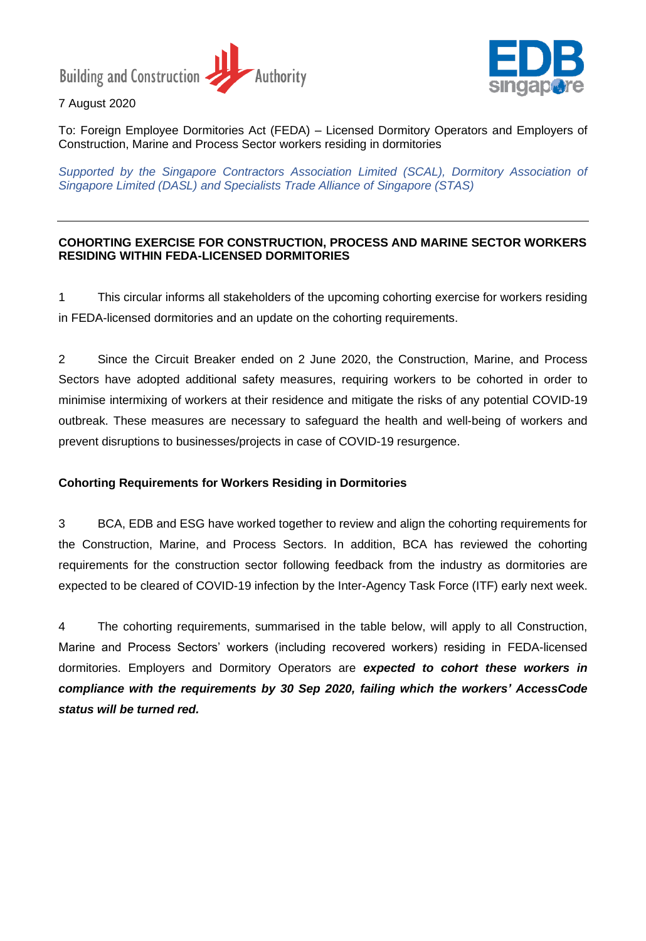**Building and Construction -**Authority



7 August 2020

To: Foreign Employee Dormitories Act (FEDA) – Licensed Dormitory Operators and Employers of Construction, Marine and Process Sector workers residing in dormitories

*Supported by the Singapore Contractors Association Limited (SCAL), Dormitory Association of Singapore Limited (DASL) and Specialists Trade Alliance of Singapore (STAS)*

#### **COHORTING EXERCISE FOR CONSTRUCTION, PROCESS AND MARINE SECTOR WORKERS RESIDING WITHIN FEDA-LICENSED DORMITORIES**

1 This circular informs all stakeholders of the upcoming cohorting exercise for workers residing in FEDA-licensed dormitories and an update on the cohorting requirements.

2 Since the Circuit Breaker ended on 2 June 2020, the Construction, Marine, and Process Sectors have adopted additional safety measures, requiring workers to be cohorted in order to minimise intermixing of workers at their residence and mitigate the risks of any potential COVID-19 outbreak. These measures are necessary to safeguard the health and well-being of workers and prevent disruptions to businesses/projects in case of COVID-19 resurgence.

### **Cohorting Requirements for Workers Residing in Dormitories**

3 BCA, EDB and ESG have worked together to review and align the cohorting requirements for the Construction, Marine, and Process Sectors. In addition, BCA has reviewed the cohorting requirements for the construction sector following feedback from the industry as dormitories are expected to be cleared of COVID-19 infection by the Inter-Agency Task Force (ITF) early next week.

4 The cohorting requirements, summarised in the table below, will apply to all Construction, Marine and Process Sectors' workers (including recovered workers) residing in FEDA-licensed dormitories. Employers and Dormitory Operators are *expected to cohort these workers in compliance with the requirements by 30 Sep 2020, failing which the workers' AccessCode status will be turned red.*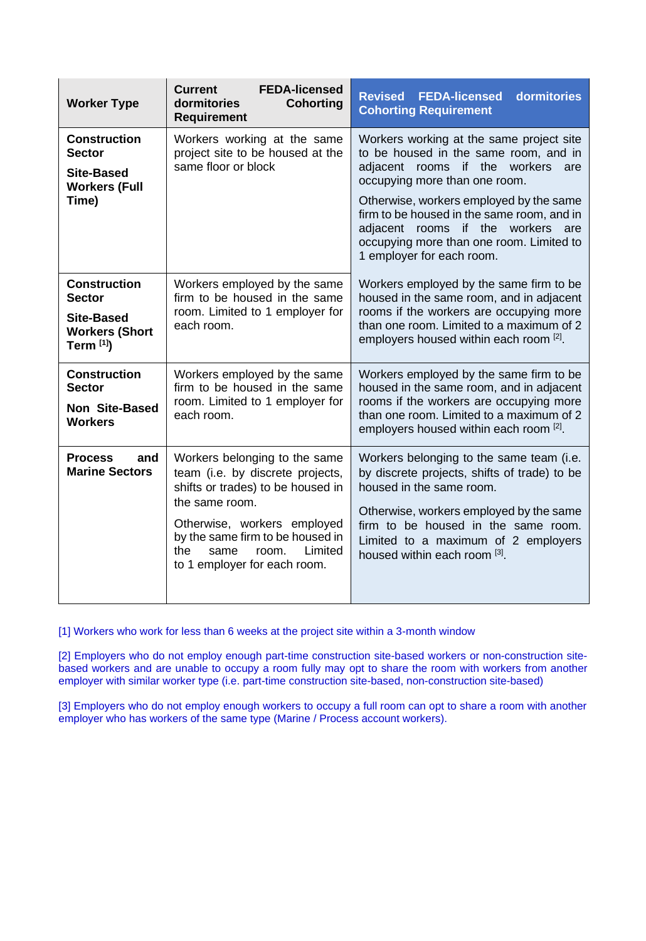| <b>Worker Type</b>                                                                               | <b>FEDA-licensed</b><br><b>Current</b><br>dormitories<br><b>Cohorting</b><br><b>Requirement</b>                                                                                                                                                                | <b>Revised</b><br>dormitories<br><b>FEDA-licensed</b><br><b>Cohorting Requirement</b>                                                                                                                                                                                                                                                                             |
|--------------------------------------------------------------------------------------------------|----------------------------------------------------------------------------------------------------------------------------------------------------------------------------------------------------------------------------------------------------------------|-------------------------------------------------------------------------------------------------------------------------------------------------------------------------------------------------------------------------------------------------------------------------------------------------------------------------------------------------------------------|
| <b>Construction</b><br><b>Sector</b><br><b>Site-Based</b><br><b>Workers (Full</b><br>Time)       | Workers working at the same<br>project site to be housed at the<br>same floor or block                                                                                                                                                                         | Workers working at the same project site<br>to be housed in the same room, and in<br>adjacent rooms if the workers<br>are<br>occupying more than one room.<br>Otherwise, workers employed by the same<br>firm to be housed in the same room, and in<br>adjacent rooms if the workers are<br>occupying more than one room. Limited to<br>1 employer for each room. |
| <b>Construction</b><br><b>Sector</b><br><b>Site-Based</b><br><b>Workers (Short</b><br>Term $[1]$ | Workers employed by the same<br>firm to be housed in the same<br>room. Limited to 1 employer for<br>each room.                                                                                                                                                 | Workers employed by the same firm to be<br>housed in the same room, and in adjacent<br>rooms if the workers are occupying more<br>than one room. Limited to a maximum of 2<br>employers housed within each room [2].                                                                                                                                              |
| <b>Construction</b><br><b>Sector</b><br><b>Non Site-Based</b><br><b>Workers</b>                  | Workers employed by the same<br>firm to be housed in the same<br>room. Limited to 1 employer for<br>each room.                                                                                                                                                 | Workers employed by the same firm to be<br>housed in the same room, and in adjacent<br>rooms if the workers are occupying more<br>than one room. Limited to a maximum of 2<br>employers housed within each room [2].                                                                                                                                              |
| <b>Process</b><br>and<br><b>Marine Sectors</b>                                                   | Workers belonging to the same<br>team (i.e. by discrete projects,<br>shifts or trades) to be housed in<br>the same room.<br>Otherwise, workers employed<br>by the same firm to be housed in<br>Limited<br>the<br>same<br>room.<br>to 1 employer for each room. | Workers belonging to the same team (i.e.<br>by discrete projects, shifts of trade) to be<br>housed in the same room.<br>Otherwise, workers employed by the same<br>firm to be housed in the same room.<br>Limited to a maximum of 2 employers<br>housed within each room [3].                                                                                     |

[1] Workers who work for less than 6 weeks at the project site within a 3-month window

[2] Employers who do not employ enough part-time construction site-based workers or non-construction sitebased workers and are unable to occupy a room fully may opt to share the room with workers from another employer with similar worker type (i.e. part-time construction site-based, non-construction site-based)

[3] Employers who do not employ enough workers to occupy a full room can opt to share a room with another employer who has workers of the same type (Marine / Process account workers).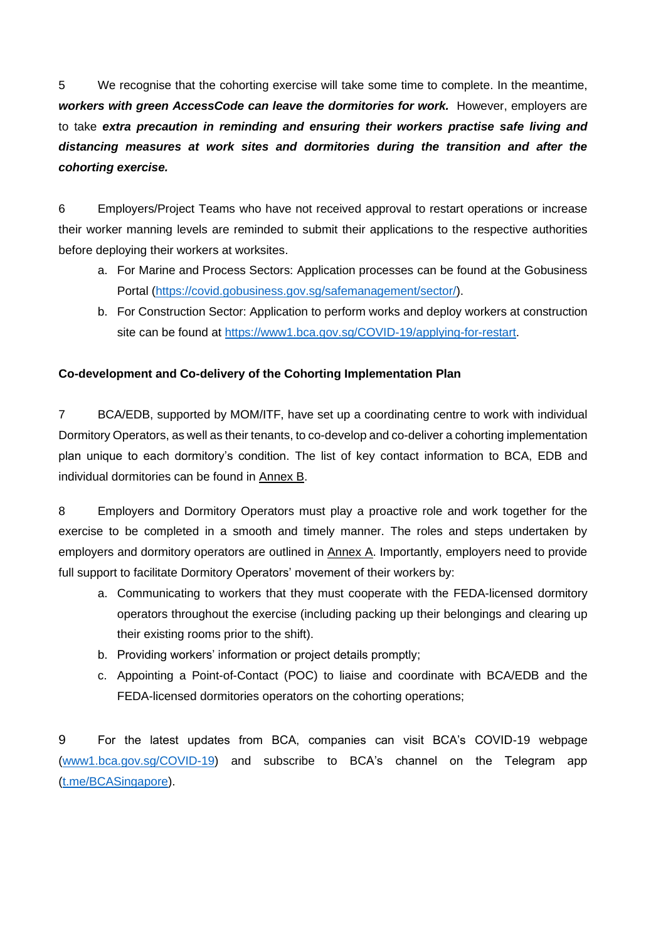5 We recognise that the cohorting exercise will take some time to complete. In the meantime, *workers with green AccessCode can leave the dormitories for work.* However, employers are to take *extra precaution in reminding and ensuring their workers practise safe living and distancing measures at work sites and dormitories during the transition and after the cohorting exercise.* 

6 Employers/Project Teams who have not received approval to restart operations or increase their worker manning levels are reminded to submit their applications to the respective authorities before deploying their workers at worksites.

- a. For Marine and Process Sectors: Application processes can be found at the Gobusiness Portal [\(https://covid.gobusiness.gov.sg/safemanagement/sector/\)](https://covid.gobusiness.gov.sg/safemanagement/sector/).
- b. For Construction Sector: Application to perform works and deploy workers at construction site can be found at [https://www1.bca.gov.sg/COVID-19/applying-for-restart.](https://www1.bca.gov.sg/COVID-19/applying-for-restart)

### **Co-development and Co-delivery of the Cohorting Implementation Plan**

7 BCA/EDB, supported by MOM/ITF, have set up a coordinating centre to work with individual Dormitory Operators, as well as their tenants, to co-develop and co-deliver a cohorting implementation plan unique to each dormitory's condition. The list of key contact information to BCA, EDB and individual dormitories can be found in Annex B.

8 Employers and Dormitory Operators must play a proactive role and work together for the exercise to be completed in a smooth and timely manner. The roles and steps undertaken by employers and dormitory operators are outlined in Annex A. Importantly, employers need to provide full support to facilitate Dormitory Operators' movement of their workers by:

- a. Communicating to workers that they must cooperate with the FEDA-licensed dormitory operators throughout the exercise (including packing up their belongings and clearing up their existing rooms prior to the shift).
- b. Providing workers' information or project details promptly;
- c. Appointing a Point-of-Contact (POC) to liaise and coordinate with BCA/EDB and the FEDA-licensed dormitories operators on the cohorting operations;

9 For the latest updates from BCA, companies can visit BCA's COVID-19 webpage [\(www1.bca.gov.sg/COVID-19\)](file:///C:/Users/bca_eeleng/AppData/Local/Microsoft/Windows/INetCache/Content.Outlook/8NWCDXU4/www1.bca.gov.sg/COVID-19) and subscribe to BCA's channel on the Telegram app [\(t.me/BCASingapore\)](file:///C:/Users/bca_eeleng/AppData/Local/Microsoft/Windows/INetCache/Content.Outlook/8NWCDXU4/t.me/BCASingapore).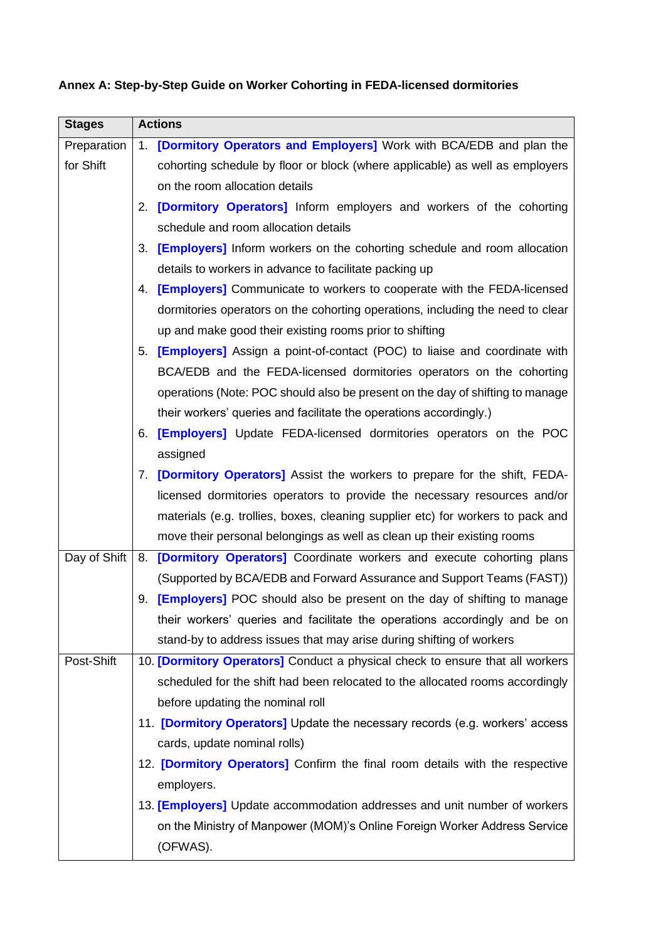| <b>Stages</b> | <b>Actions</b>                                                                        |
|---------------|---------------------------------------------------------------------------------------|
| Preparation   | 1. [Dormitory Operators and Employers] Work with BCA/EDB and plan the                 |
| for Shift     | cohorting schedule by floor or block (where applicable) as well as employers          |
|               | on the room allocation details                                                        |
|               | [Dormitory Operators] Inform employers and workers of the cohorting<br>2.             |
|               | schedule and room allocation details                                                  |
|               | <b>[Employers]</b> Inform workers on the cohorting schedule and room allocation<br>3. |
|               | details to workers in advance to facilitate packing up                                |
|               | <b>[Employers]</b> Communicate to workers to cooperate with the FEDA-licensed<br>4.   |
|               | dormitories operators on the cohorting operations, including the need to clear        |
|               | up and make good their existing rooms prior to shifting                               |
|               | [Employers] Assign a point-of-contact (POC) to liaise and coordinate with<br>5.       |
|               | BCA/EDB and the FEDA-licensed dormitories operators on the cohorting                  |
|               | operations (Note: POC should also be present on the day of shifting to manage         |
|               | their workers' queries and facilitate the operations accordingly.)                    |
|               | [Employers] Update FEDA-licensed dormitories operators on the POC<br>6.               |
|               | assigned                                                                              |
|               | 7. <b>[Dormitory Operators]</b> Assist the workers to prepare for the shift, FEDA-    |
|               | licensed dormitories operators to provide the necessary resources and/or              |
|               | materials (e.g. trollies, boxes, cleaning supplier etc) for workers to pack and       |
|               | move their personal belongings as well as clean up their existing rooms               |
| Day of Shift  | 8.<br>[Dormitory Operators] Coordinate workers and execute cohorting plans            |
|               | (Supported by BCA/EDB and Forward Assurance and Support Teams (FAST))                 |
|               | <b>[Employers]</b> POC should also be present on the day of shifting to manage<br>9.  |
|               | their workers' queries and facilitate the operations accordingly and be on            |
|               | stand-by to address issues that may arise during shifting of workers                  |
| Post-Shift    | 10. [Dormitory Operators] Conduct a physical check to ensure that all workers         |
|               | scheduled for the shift had been relocated to the allocated rooms accordingly         |
|               | before updating the nominal roll                                                      |
|               | 11. <b>[Dormitory Operators]</b> Update the necessary records (e.g. workers' access   |
|               | cards, update nominal rolls)                                                          |
|               | 12. [Dormitory Operators] Confirm the final room details with the respective          |
|               | employers.                                                                            |
|               | 13. [Employers] Update accommodation addresses and unit number of workers             |
|               | on the Ministry of Manpower (MOM)'s Online Foreign Worker Address Service             |
|               | (OFWAS).                                                                              |

# **Annex A: Step-by-Step Guide on Worker Cohorting in FEDA-licensed dormitories**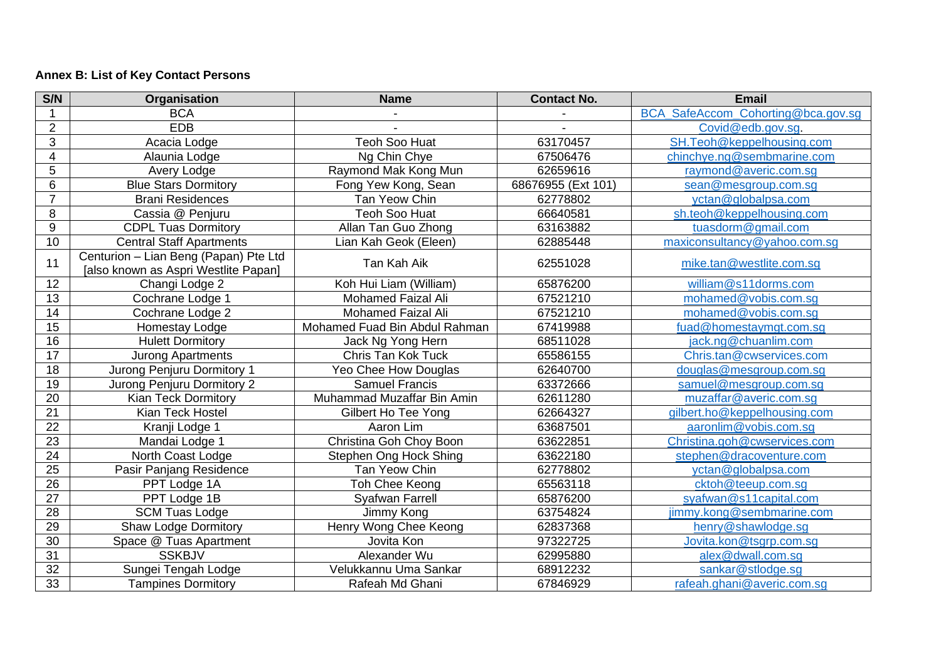# **Annex B: List of Key Contact Persons**

| S/N             | Organisation                                                                  | <b>Name</b>                   | <b>Contact No.</b> | <b>Email</b>                       |
|-----------------|-------------------------------------------------------------------------------|-------------------------------|--------------------|------------------------------------|
|                 | <b>BCA</b>                                                                    |                               |                    | BCA SafeAccom_Cohorting@bca.gov.sg |
| $\overline{2}$  | <b>EDB</b>                                                                    |                               |                    | Covid@edb.gov.sg.                  |
| 3               | Acacia Lodge                                                                  | <b>Teoh Soo Huat</b>          | 63170457           | SH.Teoh@keppelhousing.com          |
| $\overline{4}$  | Alaunia Lodge                                                                 | Ng Chin Chye                  | 67506476           | chinchye.ng@sembmarine.com         |
| 5               | Avery Lodge                                                                   | Raymond Mak Kong Mun          | 62659616           | raymond@averic.com.sg              |
| 6               | <b>Blue Stars Dormitory</b>                                                   | Fong Yew Kong, Sean           | 68676955 (Ext 101) | sean@mesgroup.com.sg               |
| $\overline{7}$  | <b>Brani Residences</b>                                                       | Tan Yeow Chin                 | 62778802           | yctan@globalpsa.com                |
| 8               | Cassia @ Penjuru                                                              | <b>Teoh Soo Huat</b>          | 66640581           | sh.teoh@keppelhousing.com          |
| 9               | <b>CDPL Tuas Dormitory</b>                                                    | Allan Tan Guo Zhong           | 63163882           | tuasdorm@gmail.com                 |
| 10              | <b>Central Staff Apartments</b>                                               | Lian Kah Geok (Eleen)         | 62885448           | maxiconsultancy@yahoo.com.sg       |
| 11              | Centurion - Lian Beng (Papan) Pte Ltd<br>[also known as Aspri Westlite Papan] | Tan Kah Aik                   | 62551028           | mike.tan@westlite.com.sg           |
| 12              | Changi Lodge 2                                                                | Koh Hui Liam (William)        | 65876200           | william@s11dorms.com               |
| 13              | Cochrane Lodge 1                                                              | <b>Mohamed Faizal Ali</b>     | 67521210           | mohamed@vobis.com.sq               |
| 14              | Cochrane Lodge 2                                                              | <b>Mohamed Faizal Ali</b>     | 67521210           | mohamed@vobis.com.sq               |
| 15              | Homestay Lodge                                                                | Mohamed Fuad Bin Abdul Rahman | 67419988           | fuad@homestaymgt.com.sg            |
| 16              | <b>Hulett Dormitory</b>                                                       | Jack Ng Yong Hern             | 68511028           | jack.ng@chuanlim.com               |
| 17              | <b>Jurong Apartments</b>                                                      | Chris Tan Kok Tuck            | 65586155           | Chris.tan@cwservices.com           |
| 18              | Jurong Penjuru Dormitory 1                                                    | Yeo Chee How Douglas          | 62640700           | douglas@mesgroup.com.sg            |
| 19              | Jurong Penjuru Dormitory 2                                                    | <b>Samuel Francis</b>         | 63372666           | samuel@mesgroup.com.sg             |
| 20              | <b>Kian Teck Dormitory</b>                                                    | Muhammad Muzaffar Bin Amin    | 62611280           | muzaffar@averic.com.sq             |
| 21              | Kian Teck Hostel                                                              | Gilbert Ho Tee Yong           | 62664327           | gilbert.ho@keppelhousing.com       |
| 22              | Kranji Lodge 1                                                                | Aaron Lim                     | 63687501           | aaronlim@vobis.com.sq              |
| $\overline{23}$ | Mandai Lodge 1                                                                | Christina Goh Choy Boon       | 63622851           | Christina.goh@cwservices.com       |
| 24              | North Coast Lodge                                                             | Stephen Ong Hock Shing        | 63622180           | stephen@dracoventure.com           |
| 25              | Pasir Panjang Residence                                                       | Tan Yeow Chin                 | 62778802           | yctan@globalpsa.com                |
| 26              | PPT Lodge 1A                                                                  | Toh Chee Keong                | 65563118           | cktoh@teeup.com.sq                 |
| $\overline{27}$ | PPT Lodge 1B                                                                  | Syafwan Farrell               | 65876200           | syafwan@s11capital.com             |
| 28              | <b>SCM Tuas Lodge</b>                                                         | Jimmy Kong                    | 63754824           | jimmy.kong@sembmarine.com          |
| 29              | <b>Shaw Lodge Dormitory</b>                                                   | Henry Wong Chee Keong         | 62837368           | henry@shawlodge.sg                 |
| 30              | Space @ Tuas Apartment                                                        | Jovita Kon                    | 97322725           | Jovita.kon@tsgrp.com.sg            |
| 31              | <b>SSKBJV</b>                                                                 | Alexander Wu                  | 62995880           | alex@dwall.com.sg                  |
| 32              | Sungei Tengah Lodge                                                           | Velukkannu Uma Sankar         | 68912232           | sankar@stlodge.sg                  |
| 33              | <b>Tampines Dormitory</b>                                                     | Rafeah Md Ghani               | 67846929           | rafeah.ghani@averic.com.sq         |